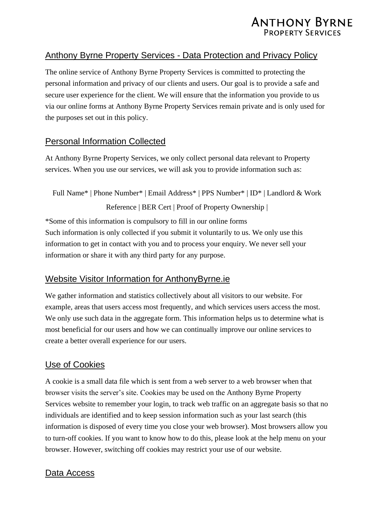

### Anthony Byrne Property Services - Data Protection and Privacy Policy

The online service of Anthony Byrne Property Services is committed to protecting the personal information and privacy of our clients and users. Our goal is to provide a safe and secure user experience for the client. We will ensure that the information you provide to us via our online forms at Anthony Byrne Property Services remain private and is only used for the purposes set out in this policy.

### Personal Information Collected

At Anthony Byrne Property Services, we only collect personal data relevant to Property services. When you use our services, we will ask you to provide information such as:

Full Name\* | Phone Number\* | Email Address\* | PPS Number\* | ID\* | Landlord & Work Reference | BER Cert | Proof of Property Ownership |

\*Some of this information is compulsory to fill in our online forms Such information is only collected if you submit it voluntarily to us. We only use this information to get in contact with you and to process your enquiry. We never sell your information or share it with any third party for any purpose.

### Website Visitor Information for AnthonyByrne.ie

We gather information and statistics collectively about all visitors to our website. For example, areas that users access most frequently, and which services users access the most. We only use such data in the aggregate form. This information helps us to determine what is most beneficial for our users and how we can continually improve our online services to create a better overall experience for our users.

### Use of Cookies

A cookie is a small data file which is sent from a web server to a web browser when that browser visits the server's site. Cookies may be used on the Anthony Byrne Property Services website to remember your login, to track web traffic on an aggregate basis so that no individuals are identified and to keep session information such as your last search (this information is disposed of every time you close your web browser). Most browsers allow you to turn-off cookies. If you want to know how to do this, please look at the help menu on your browser. However, switching off cookies may restrict your use of our website.

#### Data Access